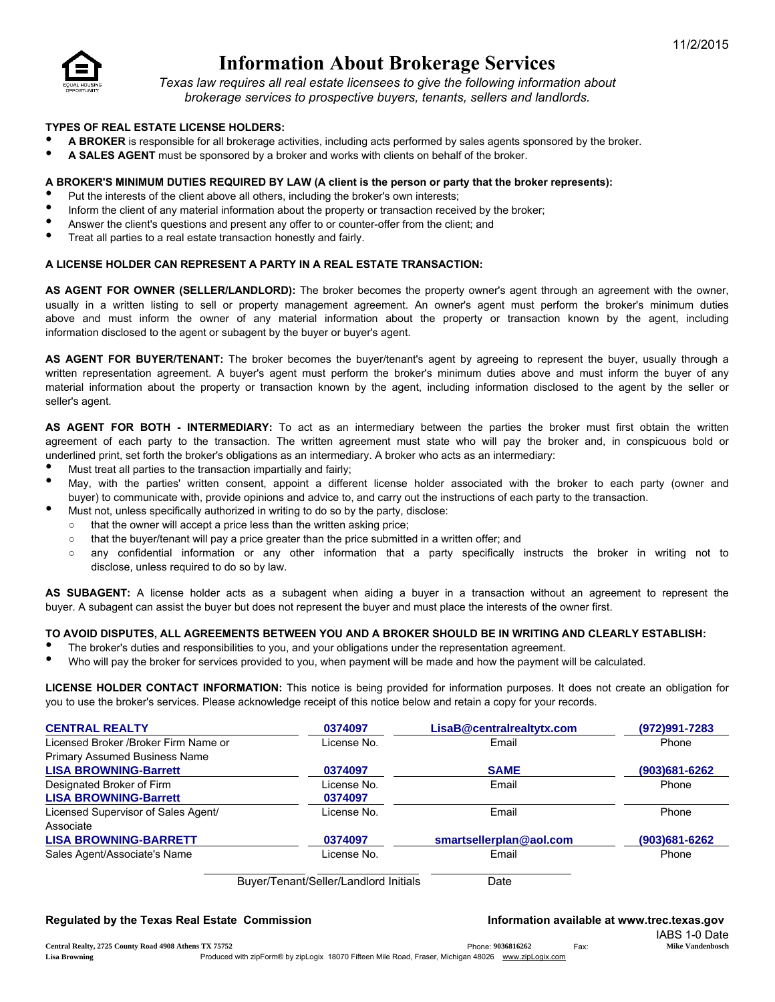

## Information About Brokerage Services

*Texas law requires all real estate licensees to give the following information about brokerage services to prospective buyers, tenants, sellers and landlords.*

#### TYPES OF REAL ESTATE LICENSE HOLDERS:

- A BROKER is responsible for all brokerage activities, including acts performed by sales agents sponsored by the broker.
- A SALES AGENT must be sponsored by a broker and works with clients on behalf of the broker.

#### A BROKER'S MINIMUM DUTIES REQUIRED BY LAW (A client is the person or party that the broker represents):

- Put the interests of the client above all others, including the broker's own interests;
- Inform the client of any material information about the property or transaction received by the broker;
- Answer the client's questions and present any offer to or counter-offer from the client; and<br>● Treated and the counter-offer to organization to an interval and finite
- Treat all parties to a real estate transaction honestly and fairly.

#### A LICENSE HOLDER CAN REPRESENT A PARTY IN A REAL ESTATE TRANSACTION:

AS AGENT FOR OWNER (SELLER/LANDLORD): The broker becomes the property owner's agent through an agreement with the owner, usually in a written listing to sell or property management agreement. An owner's agent must perform the broker's minimum duties above and must inform the owner of any material information about the property or transaction known by the agent, including information disclosed to the agent or subagent by the buyer or buyer's agent.

AS AGENT FOR BUYER/TENANT: The broker becomes the buyer/tenant's agent by agreeing to represent the buyer, usually through a written representation agreement. A buyer's agent must perform the broker's minimum duties above and must inform the buyer of any material information about the property or transaction known by the agent, including information disclosed to the agent by the seller or seller's agent.

AS AGENT FOR BOTH - INTERMEDIARY: To act as an intermediary between the parties the broker must first obtain the written agreement of each party to the transaction. The written agreement must state who will pay the broker and, in conspicuous bold or underlined print, set forth the broker's obligations as an intermediary. A broker who acts as an intermediary:

- Must treat all parties to the transaction impartially and fairly;
- May, with the parties' written consent, appoint a different license holder associated with the broker to each party (owner and buyer) to communicate with, provide opinions and advice to, and carry out the instructions of each party to the transaction.
- Must not, unless specifically authorized in writing to do so by the party, disclose:
	- that the owner will accept a price less than the written asking price;
	- that the buyer/tenant will pay a price greater than the price submitted in a written offer; and
	- any confidential information or any other information that a party specifically instructs the broker in writing not to disclose, unless required to do so by law.

AS SUBAGENT: A license holder acts as a subagent when aiding a buyer in a transaction without an agreement to represent the buyer. A subagent can assist the buyer but does not represent the buyer and must place the interests of the owner first.

#### TO AVOID DISPUTES, ALL AGREEMENTS BETWEEN YOU AND A BROKER SHOULD BE IN WRITING AND CLEARLY ESTABLISH:

- The broker's duties and responsibilities to you, and your obligations under the representation agreement.
- Who will pay the broker for services provided to you, when payment will be made and how the payment will be calculated.

LICENSE HOLDER CONTACT INFORMATION: This notice is being provided for information purposes. It does not create an obligation for you to use the broker's services. Please acknowledge receipt of this notice below and retain a copy for your records.

| <b>CENTRAL REALTY</b>                 | 0374097                                                | LisaB@centralrealtytx.com | (972)991-7283 |
|---------------------------------------|--------------------------------------------------------|---------------------------|---------------|
| Licensed Broker / Broker Firm Name or | License No.                                            | Email                     | Phone         |
| <b>Primary Assumed Business Name</b>  |                                                        |                           |               |
| <b>LISA BROWNING-Barrett</b>          | 0374097                                                | <b>SAME</b>               | (903)681-6262 |
| Designated Broker of Firm             | License No.                                            | Email                     | Phone         |
| <b>LISA BROWNING-Barrett</b>          | 0374097                                                |                           |               |
| Licensed Supervisor of Sales Agent/   | License No.                                            | Email                     | Phone         |
| Associate                             |                                                        |                           |               |
| <b>LISA BROWNING-BARRETT</b>          | 0374097                                                | smartsellerplan@aol.com   | (903)681-6262 |
| Sales Agent/Associate's Name          | L <b>icense No</b> .                                   | Email                     | Phone         |
|                                       | $D$ car $T$ anant $D$ allar $\theta$ anallard laitiala | $D = 4$                   |               |

Buyer/Tenant/Seller/Landlord Initials Date

### Regulated by the Texas Real Estate Commission **Information available at www.trec.texas.gov**

IABS 1-0 Date